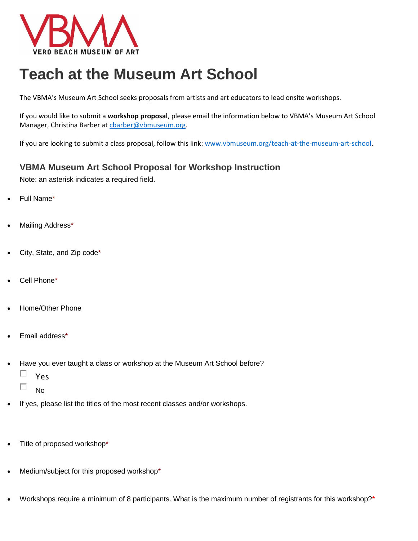

## **Teach at the Museum Art School**

The VBMA's Museum Art School seeks proposals from artists and art educators to lead onsite workshops.

If you would like to submit a **workshop proposal**, please email the information below to VBMA's Museum Art School Manager, Christina Barber at [cbarber@vbmuseum.org.](mailto:cbarber@vbmuseum.org)

If you are looking to submit a class proposal, follow this link: [www.vbmuseum.org/teach-at-the-museum-art-school.](http://www.vbmuseum.org/teach-at-the-museum-art-school)

## **VBMA Museum Art School Proposal for Workshop Instruction**

Note: an asterisk indicates a required field.

- Full Name\*
- Mailing Address\*
- City, State, and Zip code\*
- Cell Phone\*
- Home/Other Phone
- Email address\*
- Have you ever taught a class or workshop at the Museum Art School before?
	- П Yes
	- П No
- If yes, please list the titles of the most recent classes and/or workshops.
- Title of proposed workshop\*
- Medium/subject for this proposed workshop\*
- Workshops require a minimum of 8 participants. What is the maximum number of registrants for this workshop?\*